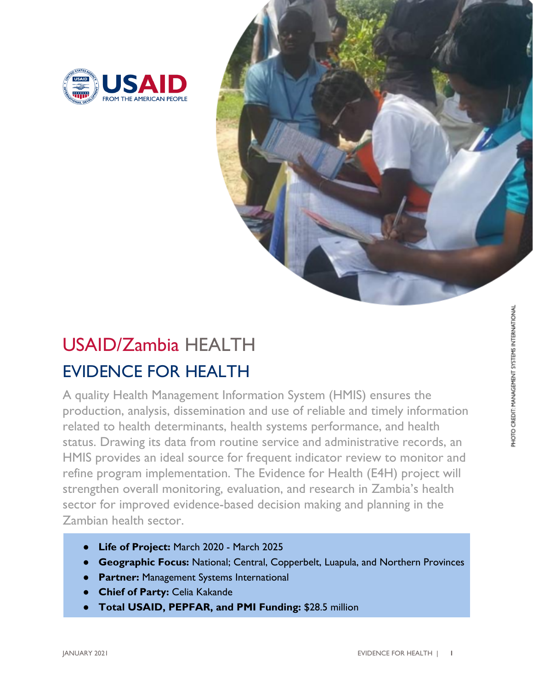



## EVIDENCE FOR HEALTH USAID/Zambia HEALTH

A quality Health Management Information System (HMIS) ensures the production, analysis, dissemination and use of reliable and timely information related to health determinants, health systems performance, and health status. Drawing its data from routine service and administrative records, an HMIS provides an ideal source for frequent indicator review to monitor and refine program implementation. The Evidence for Health (E4H) project will strengthen overall monitoring, evaluation, and research in Zambia's health sector for improved evidence-based decision making and planning in the Zambian health sector.

- Life of Project: March 2020 March 2025
- **Geographic Focus:** National; Central, Copperbelt, Luapula, and Northern Provinces
- **Partner:** Management Systems International
- **Chief of Party: Celia Kakande**
- **Total USAID, PEPFAR, and PMI Funding:** \$28.5 million